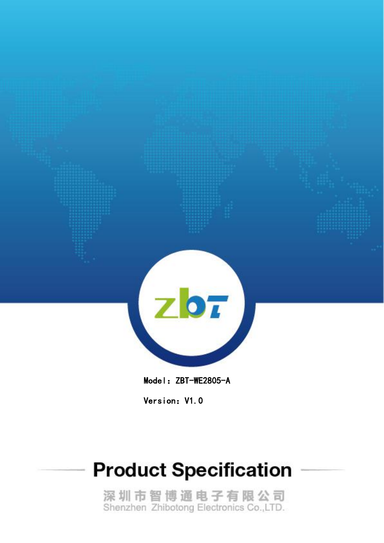

Model: ZBT-WE2805-A

Version: V1.0

# **Product Specification**

深圳市智博通电子有限公司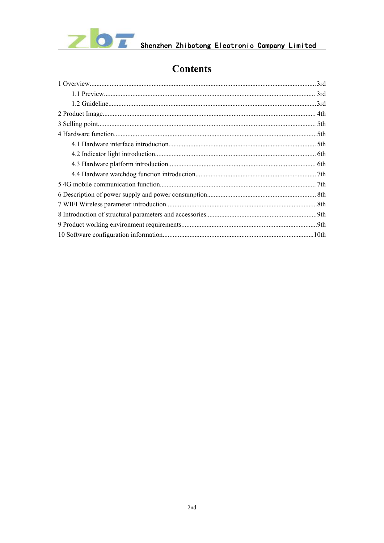

#### **Contents**

| .3rd |
|------|
| 3rd  |
| .3rd |
|      |
|      |
|      |
|      |
|      |
|      |
|      |
|      |
|      |
|      |
|      |
|      |
|      |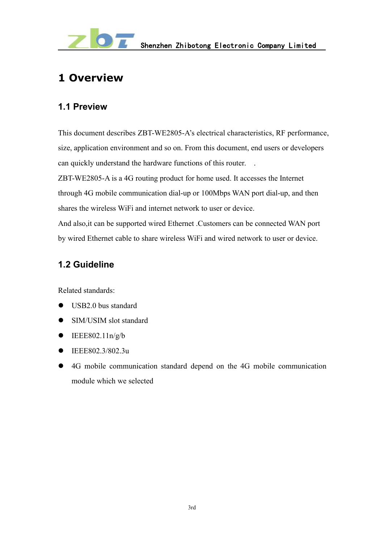

# <span id="page-2-0"></span>**1 Overview**

#### <span id="page-2-1"></span>**1.1 Preview**

This document describes ZBT-WE2805-A's electrical characteristics, RF performance, size, application environment and so on. From this document, end users or developers can quickly understand the hardware functions of this router. .

ZBT-WE2805-A is a 4G routing product for home used. It accesses the Internet through 4G mobile communication dial-up or 100Mbps WAN port dial-up, and then shares the wireless WiFi and internet network to user or device.

And also,it can be supported wired Ethernet .Customers can be connected WAN port by wired Ethernet cable to share wireless WiFi and wired network to user or device.

#### <span id="page-2-2"></span>**1.2 Guideline**

Related standards:

- USB2.0 bus standard
- SIM/USIM slot standard
- $\bullet$  IEEE802.11n/g/b
- IEEE802.3/802.3u
- 4G mobile communication standard depend on the 4G mobile communication module which we selected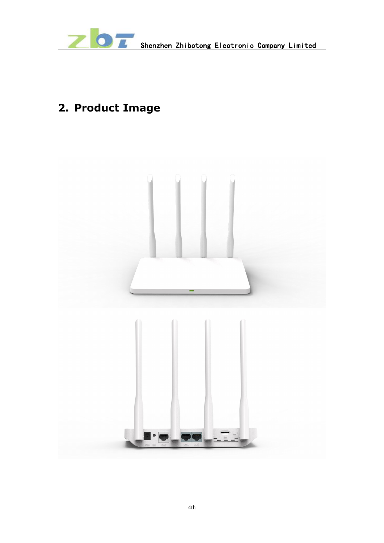

# **2. Product Image**

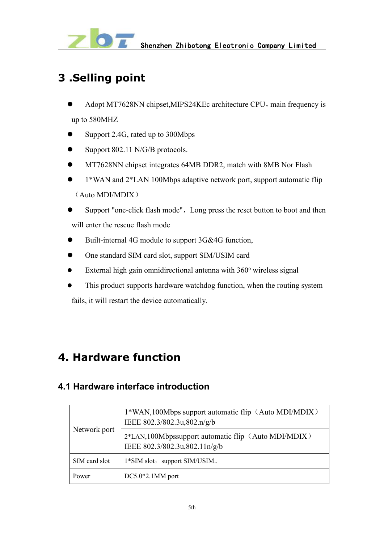

## <span id="page-4-0"></span>**3 .Selling point**

- Adopt MT7628NN chipset, MIPS24KEc architecture CPU, main frequency is up to 580MHZ
- Support 2.4G, rated up to 300Mbps
- $\bullet$  Support 802.11 N/G/B protocols.
- **MT7628NN chipset integrates 64MB DDR2, match with 8MB Nor Flash**
- 1\*WAN and 2\*LAN 100Mbps adaptive network port, support automatic flip (Auto MDI/MDIX)
- Support "one-click flash mode", Long press the reset button to boot and then will enter the rescue flash mode
- Built-internal 4G module to support 3G&4G function,
- One standard SIM card slot, support SIM/USIM card
- $\bullet$  External high gain omnidirectional antenna with  $360^\circ$  wireless signal
- This product supports hardware watchdog function, when the routing system fails, it will restart the device automatically.

#### <span id="page-4-1"></span>**4. Hardware function**

#### <span id="page-4-2"></span>**4.1 Hardware interface introduction**

| Network port  | 1*WAN,100Mbps support automatic flip (Auto MDI/MDIX)<br>IEEE 802.3/802.3u,802.n/g/b  |
|---------------|--------------------------------------------------------------------------------------|
|               | 2*LAN,100Mbpssupport automatic flip (Auto MDI/MDIX)<br>IEEE 802.3/802.3u,802.11n/g/b |
| SIM card slot | 1*SIM slot, support SIM/USIM                                                         |
| Power         | $DC5.0*2.1MM$ port                                                                   |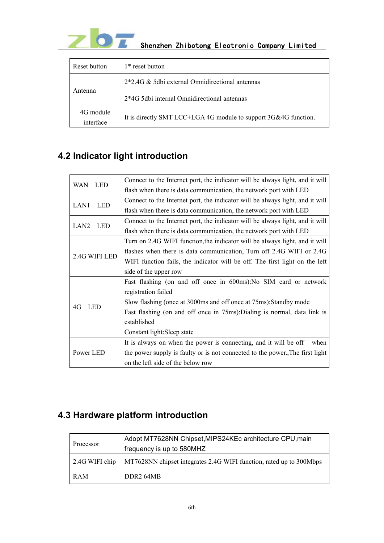

| Reset button           | 1* reset button                                                 |
|------------------------|-----------------------------------------------------------------|
|                        | 2*2.4G & 5dbi external Omnidirectional antennas                 |
| Antenna                | 2*4G 5dbi internal Omnidirectional antennas                     |
| 4G module<br>interface | It is directly SMT LCC+LGA 4G module to support 3G&4G function. |

### <span id="page-5-0"></span>**4.2 Indicator light introduction**

| LED<br><b>WAN</b> | Connect to the Internet port, the indicator will be always light, and it will |
|-------------------|-------------------------------------------------------------------------------|
|                   | flash when there is data communication, the network port with LED             |
| LAN1<br>LED       | Connect to the Internet port, the indicator will be always light, and it will |
|                   | flash when there is data communication, the network port with LED             |
| LAN2<br>LED       | Connect to the Internet port, the indicator will be always light, and it will |
|                   | flash when there is data communication, the network port with LED             |
|                   | Turn on 2.4G WIFI function, the indicator will be always light, and it will   |
| 2.4G WIFI LED     | flashes when there is data communication, Turn off 2.4G WIFI or 2.4G          |
|                   | WIFI function fails, the indicator will be off. The first light on the left   |
|                   | side of the upper row                                                         |
|                   | Fast flashing (on and off once in 600ms): No SIM card or network              |
|                   | registration failed                                                           |
| 4G<br><b>LED</b>  | Slow flashing (once at 3000ms and off once at 75ms): Standby mode             |
|                   | Fast flashing (on and off once in 75ms): Dialing is normal, data link is      |
|                   | established                                                                   |
|                   | Constant light: Sleep state                                                   |
|                   | It is always on when the power is connecting, and it will be off when         |
| Power LED         | the power supply is faulty or is not connected to the power. The first light  |
|                   | on the left side of the below row                                             |

#### <span id="page-5-1"></span>**4.3 Hardware platform introduction**

|            | Adopt MT7628NN Chipset, MIPS24KEc architecture CPU, main                             |
|------------|--------------------------------------------------------------------------------------|
| Processor  | frequency is up to 580MHZ                                                            |
|            | 2.4G WIFI chip   MT7628NN chipset integrates 2.4G WIFI function, rated up to 300Mbps |
| <b>RAM</b> | DDR <sub>2</sub> 64MB                                                                |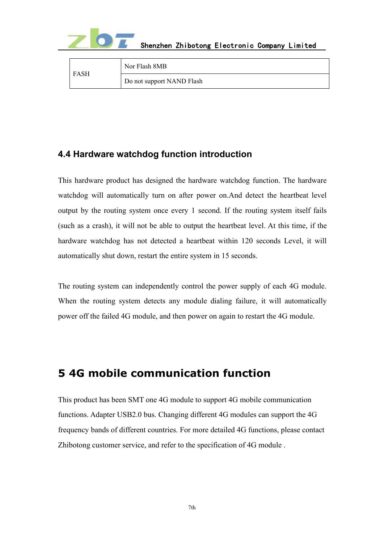

|             | Nor Flash 8MB             |
|-------------|---------------------------|
| <b>FASH</b> | Do not support NAND Flash |

#### <span id="page-6-0"></span>**4.4 Hardware watchdog function introduction**

This hardware product has designed the hardware watchdog function. The hardware watchdog will automatically turn on after power on.And detect the heartbeat level output by the routing system once every 1 second. If the routing system itself fails (such as a crash), it will not be able to output the heartbeat level. At this time, if the hardware watchdog has not detected a heartbeat within 120 seconds Level, it will automatically shut down, restart the entire system in 15 seconds.

The routing system can independently control the power supply of each 4G module. When the routing system detects any module dialing failure, it will automatically power off the failed 4G module, and then power on again to restart the 4G module.

#### <span id="page-6-1"></span>**5 4G mobile communication function**

This product has been SMT one 4G module to support 4G mobile communication functions. Adapter USB2.0 bus. Changing different 4G modules can support the 4G frequency bands of different countries. For more detailed 4G functions, please contact Zhibotong customer service, and refer to the specification of 4G module .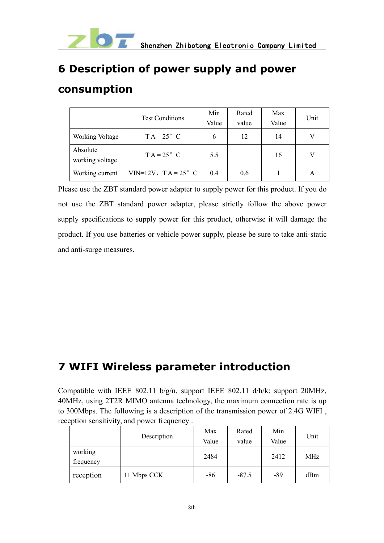

# <span id="page-7-0"></span>**6 Description of power supply and power**

#### **consumption**

|                             | <b>Test Conditions</b>     | Min   | Rated | Max   | Unit |
|-----------------------------|----------------------------|-------|-------|-------|------|
|                             |                            | Value | value | Value |      |
| Working Voltage             | $TA = 25^{\circ}$ C        | 6     | 12    | 14    | V    |
| Absolute<br>working voltage | $TA = 25^{\circ}$ C        | 5.5   |       | 16    |      |
| Working current             | VIN=12V, $TA = 25^\circ$ C | 0.4   | 0.6   |       | A    |

Please use the ZBT standard power adapter to supply power for this product. If you do not use the ZBT standard power adapter, please strictly follow the above power supply specifications to supply power for this product, otherwise it will damage the product. If you use batteries or vehicle power supply, please be sure to take anti-static and anti-surge measures.

# <span id="page-7-1"></span>**7 WIFI Wireless parameter introduction**

Compatible with IEEE 802.11 b/g/n, support IEEE 802.11 d/h/k; support 20MHz, 40MHz, using 2T2R MIMO antenna technology, the maximum connection rate is up to 300Mbps. The following is a description of the transmission power of 2.4G WIFI , reception sensitivity, and power frequency .

|                      | Description | Max<br>Value | Rated<br>value | Min<br>Value | Unit |
|----------------------|-------------|--------------|----------------|--------------|------|
| working<br>frequency |             | 2484         |                | 2412         | MHz  |
| reception            | 11 Mbps CCK | $-86$        | $-87.5$        | $-89$        | dBm  |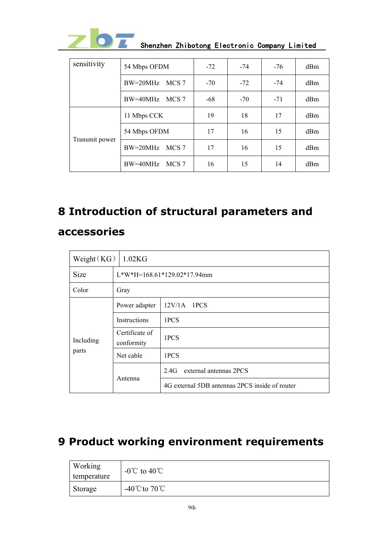

|--|--|--|

| sensitivity    | 54 Mbps OFDM                   | $-72$ | -74   | $-76$ | dBm |
|----------------|--------------------------------|-------|-------|-------|-----|
|                | $BW=20MHz$<br>MCS <sub>7</sub> | $-70$ | $-72$ | $-74$ | dBm |
|                | BW=40MHz<br>MCS 7              | $-68$ | $-70$ | $-71$ | dBm |
| Transmit power | 11 Mbps CCK                    | 19    | 18    | 17    | dBm |
|                | 54 Mbps OFDM                   | 17    | 16    | 15    | dBm |
|                | $BW=20MHz$<br>MCS 7            | 17    | 16    | 15    | dBm |
|                | BW=40MHz<br>MCS 7              | 16    | 15    | 14    | dBm |

# <span id="page-8-0"></span>**8 Introduction of structural parameters and accessories**

| Weight $(KG)$      | 1.02 <sub>K</sub> G           |                                                |  |  |  |  |  |  |
|--------------------|-------------------------------|------------------------------------------------|--|--|--|--|--|--|
| <b>Size</b>        | $L*W*H=168.61*129.02*17.94mm$ |                                                |  |  |  |  |  |  |
| Color              | Gray                          |                                                |  |  |  |  |  |  |
| Including<br>parts | Power adapter                 | 12V/1A 1PCS                                    |  |  |  |  |  |  |
|                    | <b>Instructions</b>           | 1PCS                                           |  |  |  |  |  |  |
|                    | Certificate of<br>conformity  | 1PCS                                           |  |  |  |  |  |  |
|                    | Net cable                     | 1PCS                                           |  |  |  |  |  |  |
|                    |                               | 2.4G external antennas 2PCS                    |  |  |  |  |  |  |
|                    | Antenna                       | 4G external 5DB antennas 2PCS inside of router |  |  |  |  |  |  |

# <span id="page-8-1"></span>**9 Product working environment requirements**

| Working<br>temperature | $-0^{\circ}$ C to 40 <sup>°</sup> C |
|------------------------|-------------------------------------|
| Storage                | -40 $^{\circ}$ Cto 70 $^{\circ}$ C  |